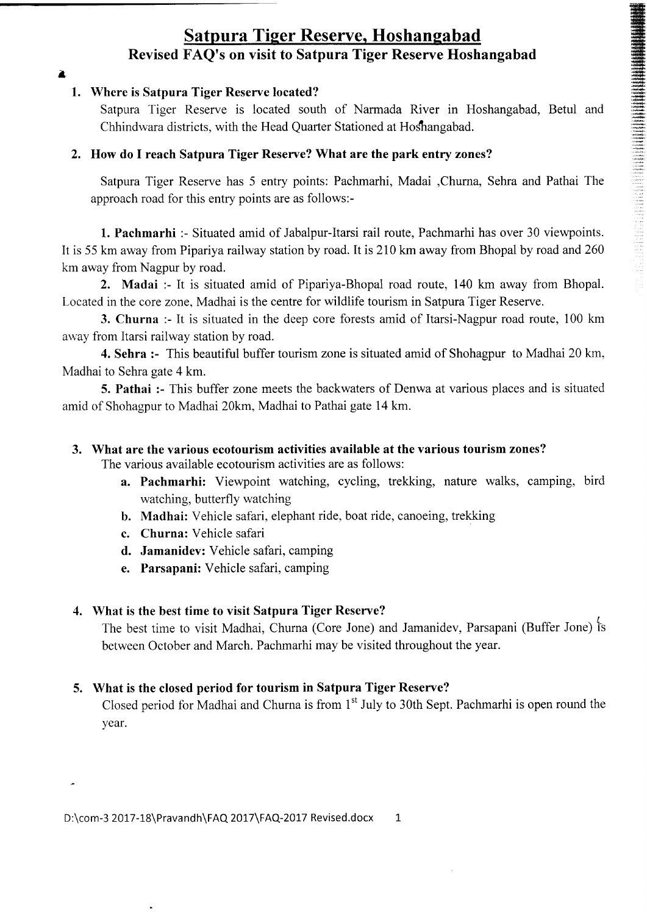# Satpura Tiger Reserve, Hoshangabad Revised FAQ's on visit to Satpura Tiger Reserve Hoshangabad

a

### 1. Where is Satpura Tiger Reserve located?

Satpura Tiger Reserve is located south of Narmada River in Hoshangabad, Betul and Chhindwara districts, with the Head Quarter Stationed at Hoshangabad.

lffi iff.\*lffi !G

ffi #

':i: .t.l;: ''ll:: ri anti<br>Limbi<br>madani

### 2. How do I reach Satpura Tiger Reserve? What are the park entry zones?

Satpura Tiger Reserve has 5 entry points: Pachmarhi, Madai ,Churna, Sehra and Pathai The approach road for this entry points are as follows:-

1. Pachmarhi :- Situated amid of Jabalpur-Itarsi rail route, Pachmarhi has over 30 viewpoints. It is 55 km away from Pipariya railway station by road. It is 210 km away from Bhopal by road and260 km away from Nagpur by road.

2. Madai :- It is situated amid of Pipariya-Bhopal road route, 140 km away from Bhopal. Located in the core zone, Madhai is the centre for wildlife tourism in Satpura Tiger Reserve.

3. Churna :- It is situated in the deep core forests amid of Itarsi-Nagpur road route, 100 km away from Itarsi railway station by road.

4. Sehra :- This beautiful buffer tourism zone is situated amid of Shohagpur to Madhai 20 km, Madhai to Sehra gate 4 km.

5. Pathai :- This buffer zone meets the backwaters of Denwa at various places and is situated amid of Shohagpur to Madhai 20km, Madhai to Pathai gate 14 km.

### 3. What are the various ecotourism activities available at the various tourism zones?

The various available ecotourism activities are as follows:

- a. Pachmarhi: Viewpoint watching, cycling, trekking, nature walks, camping, bird watching, butterfly watching
- b. Madhai: Vehicle safari, elephant ride, boat ride, canoeing, trekking
- c. Churna: Vehicle safari
- d. Jamanidev: Vehicle safari, camping
- e. Parsapani: Vehicle safari, camping

### 4. What is the best time to visit Satpura Tiger Reserve?

 $\overline{I}$ The best time to visit Madhai, Churna (Core Jone) and Jamanidev, Parsapani (Buffer Jone) is between October and March. Pachmarhi may be visited throughout the year.

# 5. What is the closed period for tourism in Satpura Tiger Reserve?

Closed period for Madhai and Churna is from 1<sup>st</sup> July to 30th Sept. Pachmarhi is open round the year.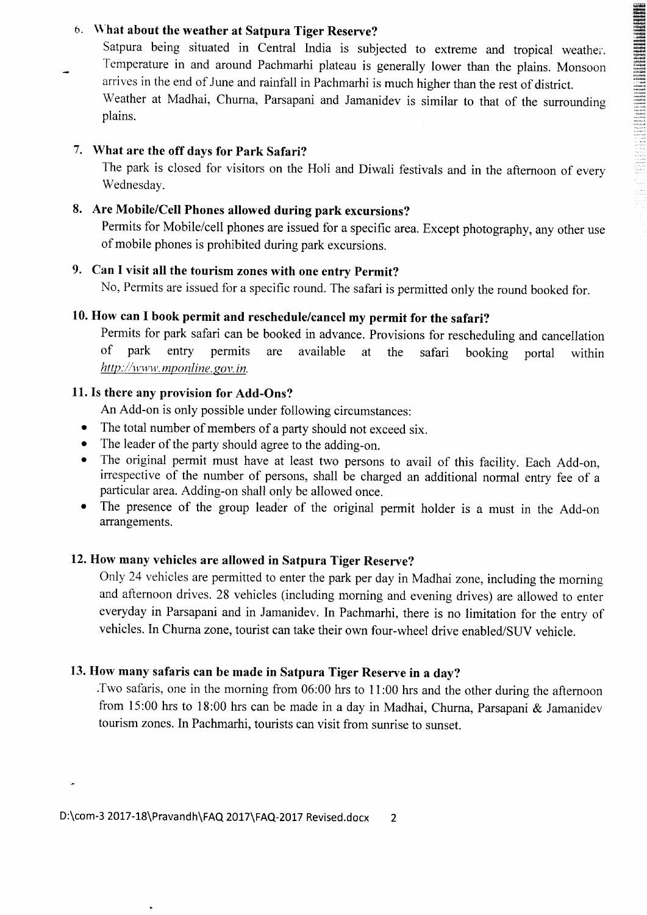### b. \\.hat about the weather at Satpura Tiger Reserve?

Satpura being situated in Central India is subjected to extreme and tropical weather. Temperature in and around Pachmarhi plateau is generally lower than the plains. Monsoon arrives in the end of June and rainfall in Pachmarhi is much higher than the rest of district.

r\$tfi

'..a:.: : -.l '..: .t.-

Weather at Madhai, Churna, Parsapani and Jamanidev is similar to that of the surrounding plains.

### 7. What are the off days for Park Safari?

The park is closed for visitors on the Holi and Diwali festivals and in the afternoon of every Wednesday.

# 8. Are Mobile/Cell Phones allowed during park excursions?

Permits for Mobile/cell phones are issued for a specific area. Except photography, any other use of mobile phones is prohibited during park excursions.

# 9. Can I visit all the tourism zones with one entry Permit?

No, Permits are issued for a specific round. The safari is permitted only the round booked for.

### 10. How can I book permit and reschedule/cancel my permit for the safari?

Permits for park safari can be booked in advance. Provisions for rescheduling and cancellation of park entry permits are available at the safari booking portal within  $http://www.mponline.gov.in.$ 

### 11. Is there any provision for Add-Ons?

An Add-on is only possible under following circumstances:

- The total number of members of a party should not exceed six.
- . The leader of the party should agree to the adding-on.
- o The original permit must have at least two persons to avail of this facility. Each Add-on, irrespective of the number of persons, shall be charged an additional normal entry fee of a particular area. Adding-on shall only be allowed once.
- o The presence of the group leader of the original permit holder is a must in the Add-on arrangements.

# 12. How many vehicles are allowed in Satpura Tiger Reserve?

Only 24 vehicles are permitted to enter the park per day in Madhai zone, including the morning and afternoon drives. 28 vehicles (including morning and evening drives) are allowed to enter everyday in Parsapani and in Jamanidev. In Pachmarhi, there is no limitation for the entry of vehicles. In Churna zone, tourist can take their own four-wheel drive enabled/SUV vehicle.

## 13. How many safaris can be made in Satpura Tiger Reserve in a day?

'Two safaris, one in the morning from 06:00 hrs to I 1:00 hrs and the other during the afternoon from 15:00 hrs to 18:00 hrs can be made in a day in Madhai, Churna, Parsapani & Jamanidev tourism zones. In Pachmarhi, tourists can visit from sunrise to sunset.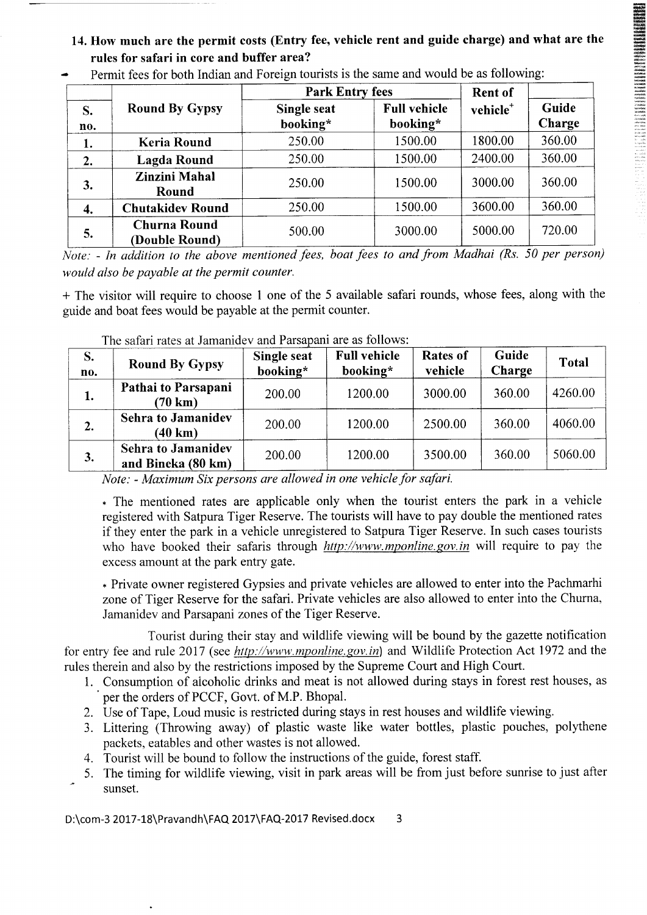14. How much are the permit costs (Entry fee, vehicle rent and guide charge) and what are the rules for safari in core and buffer area?

ffi ffi

|           |                                       | <b>Park Entry fees</b>         | <b>Rent of</b>                  |                      |                 |
|-----------|---------------------------------------|--------------------------------|---------------------------------|----------------------|-----------------|
| S.<br>no. | <b>Round By Gypsy</b>                 | <b>Single seat</b><br>booking* | <b>Full vehicle</b><br>booking* | vehicle <sup>+</sup> | Guide<br>Charge |
| 1.        | <b>Keria Round</b>                    | 250.00                         | 1500.00                         | 1800.00              | 360.00          |
| 2.        | Lagda Round                           | 250.00                         | 1500.00                         | 2400.00              | 360.00          |
| 3.        | <b>Zinzini Mahal</b><br>Round         | 250.00                         | 1500.00                         | 3000.00              | 360.00          |
| 4.        | <b>Chutakidev Round</b>               | 250.00                         | 1500.00                         | 3600.00              | 360.00          |
| 5.        | <b>Churna Round</b><br>(Double Round) | 500.00                         | 3000.00                         | 5000.00              | 720.00          |

Permit fees for both Indian and Foreign tourists is the same and would be as following:

Note: - In addition to the above mentioned fees, boat fees to and from Madhai (Rs. 50 per person) would also be payable at the permit counter.

+ The visitor will require to choose I one of the 5 available safari rounds, whose fees, along with the guide and boat fees would be payable at the permit counter.

| S.<br>no. | <b>Round By Gypsy</b>                           | Single seat<br>booking* | <b>Full vehicle</b><br>booking* | <b>Rates of</b><br>vehicle | Guide<br>Charge | <b>Total</b> |
|-----------|-------------------------------------------------|-------------------------|---------------------------------|----------------------------|-----------------|--------------|
| 1.        | Pathai to Parsapani<br>$(70 \text{ km})$        | 200.00                  | 1200.00                         | 3000.00                    | 360.00          | 4260.00      |
| 2.        | <b>Sehra to Jamanidev</b><br>(40 km)            | 200.00                  | 1200.00                         | 2500.00                    | 360.00          | 4060.00      |
| 3.        | <b>Sehra to Jamanidev</b><br>and Bineka (80 km) | 200.00                  | 1200.00                         | 3500.00                    | 360.00          | 5060.00      |

The safari rates at Jamanidev and Parsapani are as follows:

Note: - Maximum Six persons are allowed in one vehicle for safari.

\* The mentioned rates are applicable only when the tourist enters the park in a vehicle registered with Satpura Tiger Reserve. The tourists will have to pay double the mentioned rates if they enter the park in a vehicle unregistered to Satpura Tiger Reserve. In such cases tourists who have booked their safaris through  $http://www.mponline.gov.in will require to pay the$ excess amount at the park entry gate.

\* Private owner registered Gypsies and private vehicles are allowed to enter into the Pachmarhi zone of Tiger Reserve for the safari. Private vehicles are also allowed to enter into the Churna, Jamanidev and Parsapani zones of the Tiger Reserve.

Tourist during their stay and wildlife viewing will be bound by the gazette notification for entry fee and rule 2017 (see http://www.mponline.gov.in) and Wildlife Protection Act 1972 and the rules therein and also by the restrictions imposed by the Supreme Court and High Court.

- 1. Consumption of alcoholic drinks and meat is not allowed during stays in forest rest houses, as per the orders of PCCF, Govt. of M.P. Bhopal.
- 2. Use of Tape, Loud music is restricted during stays in rest houses and wildlife viewing.
- 3. Littering (Throwing away) of plastic waste like water bottles, plastic pouches, polythene packets, eatables and other wastes is not allowed.
- 4. Tourist will be bound to follow the instructions of the guide, forest staff.
- 5. The timing for wildlife viewing, visit in park areas will be from just before sunrise to just after sunset.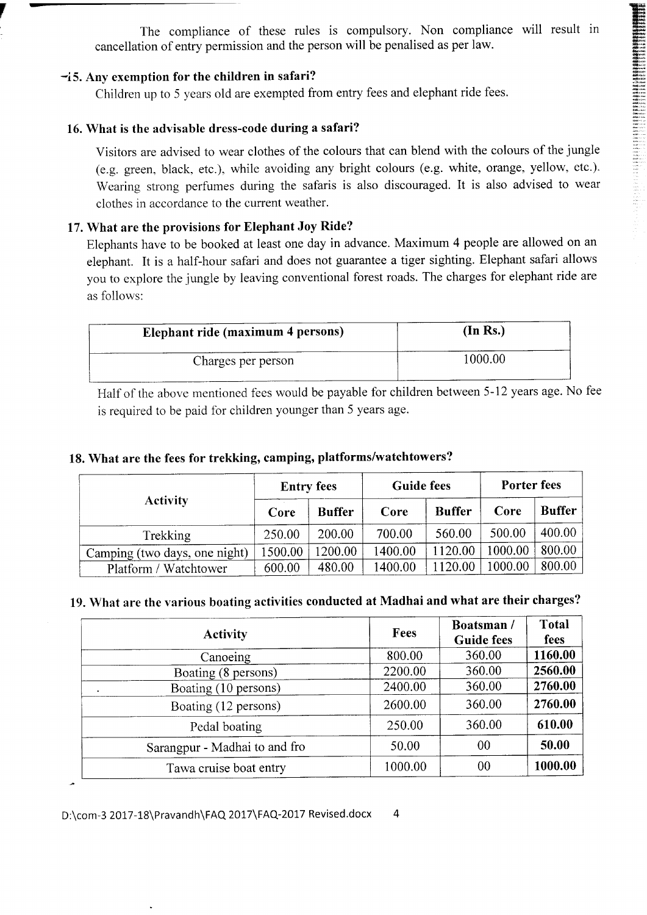The compliance of these rules is compulsory. Non compliance will result in cancellation of entry permission and the person will be penalised as per law.

 $\overline{ }$ 

::.";. :,:' l',: .

#### -i5. Any exemption for the children in safari?

Children up to 5 years old are exempted from entry fees and elephant ride fees.

### 16. What is the advisable dress-code during a safari?

Visitors are advised to wear clothes of the colours that can blend with the colours of the jungle (e.g. green, black, etc.), while avoiding any bright colours (e.g. white, orange, yellow, etc.). Wearing strong perfumes during the safaris is also discouraged. It is also advised to wear clothes in accordance to the current weather.

### 17. What are the provisions for Elephant Joy Ride?

Elephants have to be booked at least one day in advance. Maximum 4 people are allowed on an elephant. It is a half-hour safari and does not guarantee a tiger sighting. Elephant safari allows you to explore the jungle by leaving conventional forest roads. The charges for elephant ride are as follows:

| Elephant ride (maximum 4 persons) | (In Rs.) |
|-----------------------------------|----------|
| Charges per person                | 1000.00  |

Half of the above mentioned fees would be payable for children between 5-12 years age. No fee is required to be paid for children younger than 5 years age.

### 18. What are the fees for trekking, camping, platforms/watchtowers?

|                               | <b>Entry fees</b> |               | <b>Guide fees</b> |               | Porter fees |               |
|-------------------------------|-------------------|---------------|-------------------|---------------|-------------|---------------|
| <b>Activity</b>               | Core              | <b>Buffer</b> | Core              | <b>Buffer</b> | Core        | <b>Buffer</b> |
| Trekking                      | 250.00            | 200.00        | 700.00            | 560.00        | 500.00      | 400.00        |
| Camping (two days, one night) | 1500.00           | 1200.00       | 1400.00           | 1120.00       | 1000.00     | 800.00        |
| Platform / Watchtower         | 600.00            | 480.00        | 1400.00           | 1120.00       | 1000.00     | 800.00        |

## 19. What are the various boating activities conducted at Madhai and what are their charges?

| <b>Activity</b>               | <b>Fees</b> | Boatsman/<br><b>Guide fees</b> | <b>Total</b><br>fees |
|-------------------------------|-------------|--------------------------------|----------------------|
| Canoeing                      | 800.00      | 360.00                         | 1160.00              |
| Boating (8 persons)           | 2200.00     | 360.00                         | 2560.00              |
| Boating (10 persons)          | 2400.00     | 360.00                         | 2760.00              |
| Boating (12 persons)          | 2600.00     | 360.00                         | 2760.00              |
| Pedal boating                 | 250.00      | 360.00                         | 610.00               |
| Sarangpur - Madhai to and fro | 50.00       | 00                             | 50.00                |
| Tawa cruise boat entry        | 1000.00     | 00                             | 1000.00              |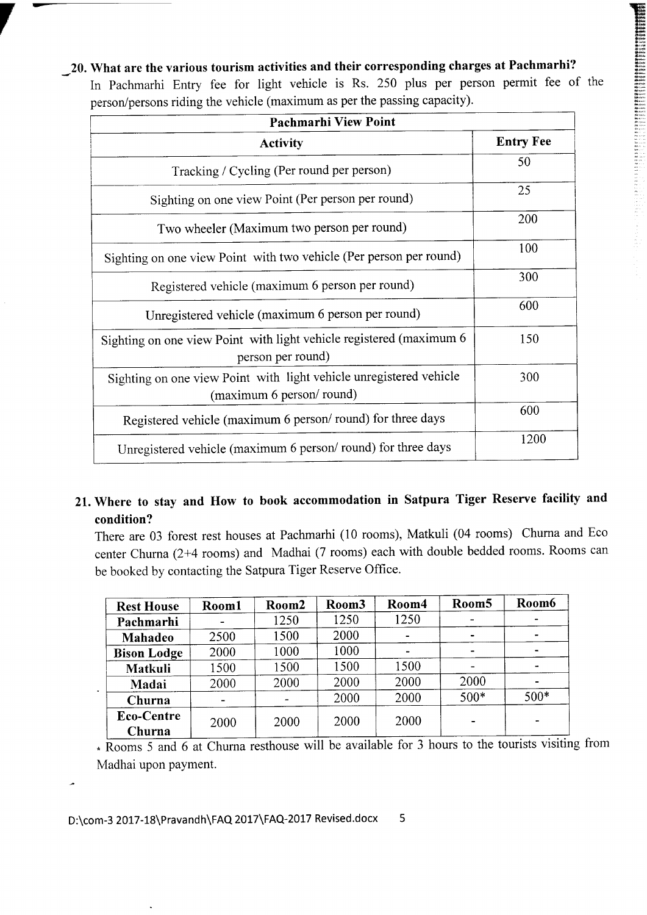\_20. What are the various tourism activities and their corresponding charges at Pachmarhi? In Pachmarhi Entry fee for light vehicle is Rs. 250 plus per person permit fee of the person/persons riding the vehicle (maximum as per the passing capacity).

Xr":

| <b>Pachmarhi View Point</b>                                                                    |                  |
|------------------------------------------------------------------------------------------------|------------------|
| Activity                                                                                       | <b>Entry Fee</b> |
| Tracking / Cycling (Per round per person)                                                      | 50               |
| Sighting on one view Point (Per person per round)                                              | 25               |
| Two wheeler (Maximum two person per round)                                                     | 200              |
| Sighting on one view Point with two vehicle (Per person per round)                             | 100              |
| Registered vehicle (maximum 6 person per round)                                                | 300              |
| Unregistered vehicle (maximum 6 person per round)                                              | 600              |
| Sighting on one view Point with light vehicle registered (maximum 6<br>person per round)       | 150              |
| Sighting on one view Point with light vehicle unregistered vehicle<br>(maximum 6 person/round) | 300              |
| Registered vehicle (maximum 6 person/round) for three days                                     | 600              |
| Unregistered vehicle (maximum 6 person/round) for three days                                   | 1200             |

# 21. Where to stay and How to book accommodation in Satpura Tiger Reserve facility and condition?

There are 03 forest rest houses at Pachmarhi (10 rooms), Matkuli (04 rooms) Churna and Eco center Churna (2+4 rooms) and Madhai (7 rooms) each with double bedded rooms. Rooms can be booked by contacting the Satpura Tiger Reserve Office.

| <b>Rest House</b>    | Room1 | Room2 | Room <sub>3</sub> | Room4          | Room <sub>5</sub> | Room6          |
|----------------------|-------|-------|-------------------|----------------|-------------------|----------------|
| Pachmarhi            |       | 1250  | 1250              | 1250           |                   |                |
| Mahadeo              | 2500  | 1500  | 2000              | $\blacksquare$ |                   |                |
| <b>Bison Lodge</b>   | 2000  | 1000  | 1000              |                |                   | $\blacksquare$ |
| Matkuli              | 1500  | 1500  | 1500              | 1500           |                   | ۰.             |
| Madai                | 2000  | 2000  | 2000              | 2000           | 2000              | ۰              |
| Churna               |       |       | 2000              | 2000           | $500*$            | $500*$         |
| Eco-Centre<br>Churna | 2000  | 2000  | 2000              | 2000           |                   | -              |

• Rooms 5 and 6 at Churna resthouse will be available for 3 hours to the touri Madhai upon payment.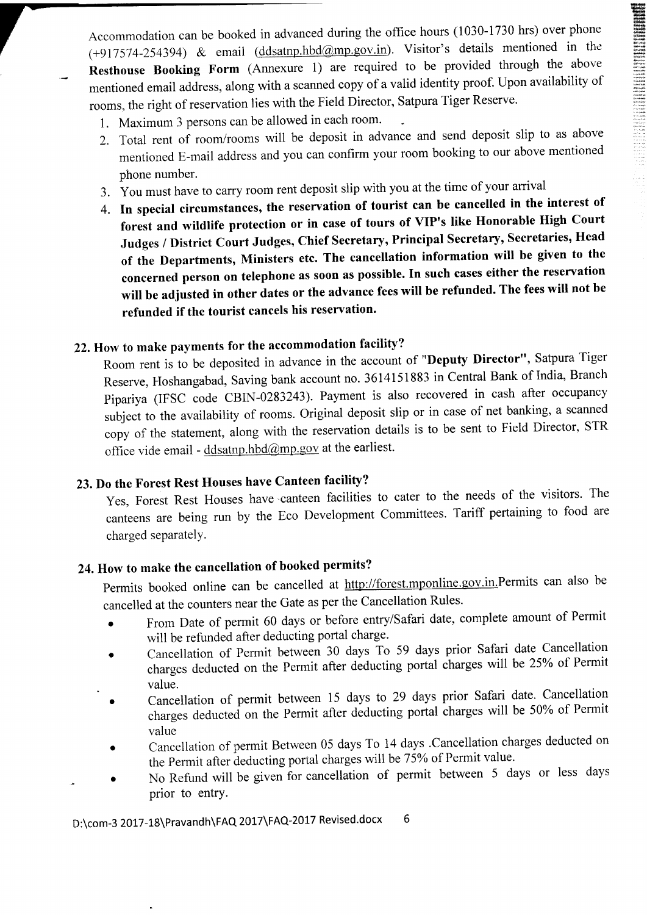Accommodation can be booked in advanced during the office hours (1030-1730 hrs) over phone  $(+917574-254394)$  & email  $(ddsatnp.hbd@mp.gov.in)$ . Visitor's details mentioned in the Resthouse Booking Form (Annexure 1) are required to be provided through the above mentioned email address, along with a scanned copy of a valid identity proof. Upon availability of rooms, the right of reservation lies with the Field Director, Satpura Tiger Reserve.

- 1. Maximum 3 persons can be allowed in each room'
- 2. Total rent of room/rooms will be deposit in advance and send deposit slip to as above mentioned E-mail address and you can confirm your room booking to our above mentioned phone number.
- 3. You must have to carry room rent deposit slip with you at the time of your arrival
- 4. In special circumstances, the reservation of tourist can be cancelled in the interest of forest and wildlife protection or in case of tours of VIP's like Honorable High Court Judges / District Court Judges, Chief Secretary, Principal Secretary, Secretaries, Head of the Departments, Ministers etc. The cancellation information will be given to the concerned person on telephone as soon as possible. In such cases either the reservation will be adjusted in other dates or the advance fees will be refunded. The fees will not be refunded if the tourist cancels his reservation'

# 22. How to make payments for the accommodation facility?

Room rent is to be deposited in advance in the account of "Deputy Director", Satpura Tiger Reserve, Hoshangabad, Saving bank account no. 3614151883 in Central Bank of India, Branch pipariya (IFSC code GBIN -0283243). Payment is also recovered in cash after occupancy subject to the availability of rooms. Original deposit slip or in case of net banking, a scanned copy of the statement, along with the reservation details is to be sent to Field Director, STR office vide email -  $\frac{d \text{d} s \text{atm} \cdot \text{d} \cdot \hat{a}}{d \text{cmm} \cdot \text{g} \cdot \text{d} \cdot \text{d} \cdot \text{d} \cdot \text{d} \cdot \text{d} \cdot \text{d} \cdot \text{d} \cdot \text{d} \cdot \text{d} \cdot \text{d} \cdot \text{d} \cdot \text{d} \cdot \text{d} \cdot \text{d} \cdot \text{d} \cdot \text{d} \cdot \text{d} \cdot \text{d} \cdot \text{d} \cdot \text{d} \cdot \text{d} \cdot \text{d} \$ 

# 23. Do the Forest Rest Houses have Canteen facility?

Yes, Forest Rest Houses have canteen facilities to cater to the needs of the visitors. The canteens are being run by the Eco Development Committees. Tariff pertaining to food are charged separatelY.

# 24. How to make the cancellation of booked permits?

permits booked online can be cancelled at http://forest.mponline.gov.in.Permits can also be cancelled at the counters near the Gate as per the Cancellation Rules.

- From Date of permit 60 days or before entry/Safari date, complete amount of Permit will be refunded after deducting portal charge.
- Cancellation of Permit between 30 days To 59 days prior Safari date Cancellation charges deducted on the Permit after deducting portal charges will be 25% of Permit value.
- Cancellation of permit between 15 days to 29 days prior Safari date. Cancellation charges deducted on the Permit after diducting portal charges will be 50% of Permitvalue
- o Cancellation of permit Between 05 days To 14 days .Cancellation charges deducted on the Permit after deducting portal charges will be 75% of Permit value.
- No Refund will be given for cancellation of permit between 5 days or less days prior to entry.

D:\com-3 2017-18\Pravandh\FAQ 2017\FAQ-2017 Revised.docx 6

.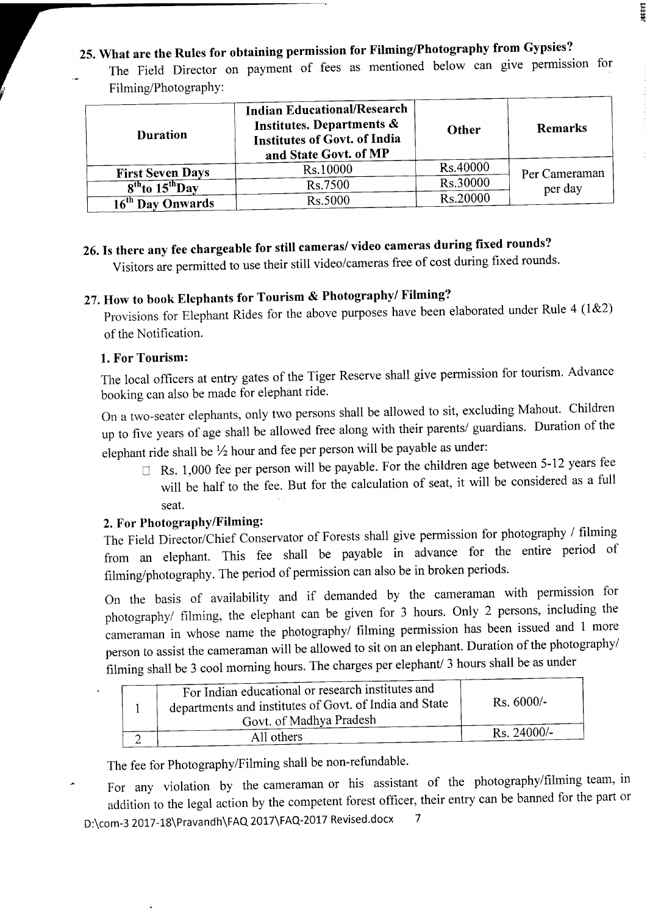# 25. What are the Rules for obtaining permission for Filming/Photography from Gypsies?

The Field Director on payment of fees as mentioned below can give permission for Filming/Photography:

**SEFERE** 

| <b>Duration</b>              | <b>Indian Educational/Research</b><br>Institutes. Departments &<br>Institutes of Govt. of India<br>and State Govt. of MP | Other           | <b>Remarks</b>           |
|------------------------------|--------------------------------------------------------------------------------------------------------------------------|-----------------|--------------------------|
| <b>First Seven Days</b>      | Rs.10000                                                                                                                 | <b>Rs.40000</b> |                          |
| $8th$ to $15th$ Day          | Rs.7500                                                                                                                  | Rs.30000        | Per Cameraman<br>per day |
| 16 <sup>th</sup> Day Onwards | Rs.5000                                                                                                                  | Rs.20000        |                          |

# 26. Is there any fee chargeable for still cameras/ video cameras during fixed rounds?

Visitors are permitted to use their still video/cameras free of cost during fixed rounds'

# 27.How to book Elephants for Tourism & Photography/ Filming?

Provisions for Elephant Rides for the above purposes have been elaborated under Rule 4 (1&2) of the Notification.

### 1. For Tourism:

The local officers at entry gates of the Tiger Reserve shall give permission for tourism. Advance booking can also be made for elephant ride.

On a two-seater elephants, only two persons shall be allowed to sit, excluding Mahout. Children up to flve years of age shall be allowed free along with their parents/ guardians. Duration of the elephant ride shall be  $\frac{1}{2}$  hour and fee per person will be payable as under:

 $\Box$  Rs. 1,000 fee per person will be payable. For the children age between 5-12 years fee will be half to the fee. But for the calculation of seat, it will be considered as a full seat.

## 2. For Photography/Filming:

The Field Director/chief conservator of Forests shall give permission for photography / filming from an elephant. This fee shall be payable in advance for the entire period of filming/photography. The period of permission can also be in broken periods.

On the basis of availability and if demanded by the cameraman with permission for photography/ filming, the elephant can be given for 3 hours. Only 2 persons, including the cameraman in whose name the photography/ filming permission has been issued and 1 more person to assist the cameraman will be allowed to sit on an elephant. Duration of the photography/ filming shall be 3 cool morning hours. The charges per elephant/ 3 hours shall be as under

| For Indian educational or research institutes and<br>departments and institutes of Govt. of India and State<br>Govt. of Madhya Pradesh | $Rs. 6000/-$          |
|----------------------------------------------------------------------------------------------------------------------------------------|-----------------------|
| All others                                                                                                                             | $\text{Rs. } 24000/-$ |

The fee for Photography/Filming shall be non-refundable.

For any violation by the cameraman or his assistant of the photography/filming team, in addition to the legal action by the competent forest officer, their entry can be banned for the part of D:\com-3 2017-18\Pravandh\FAQ 2017\FAQ-2017 Revised.docx 7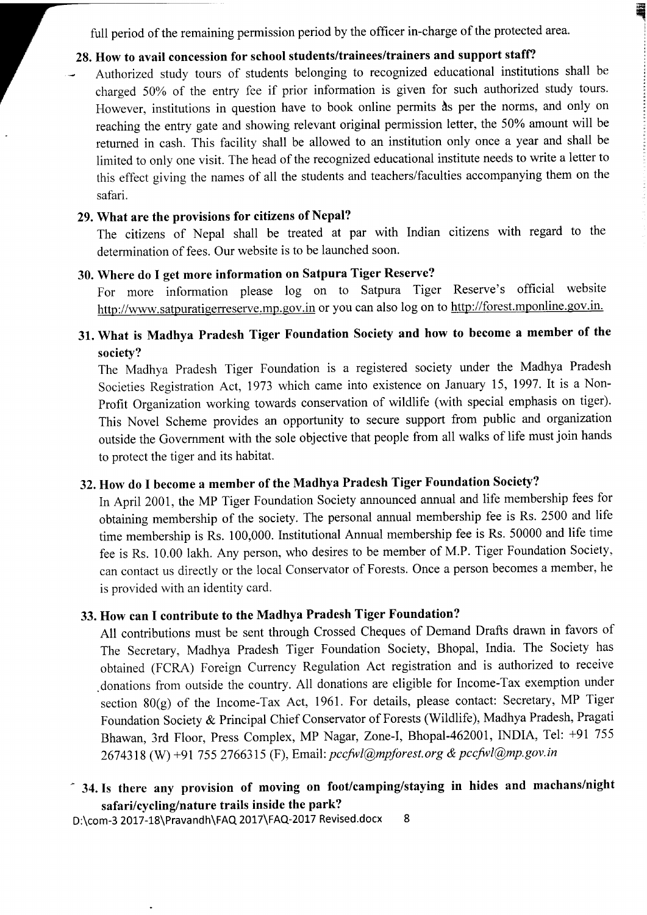full period of the remaining permission period by the officer in-charge of the protected area.

**q** ; : :

# 28. How to avail concession for school students/trainees/trainers and support staff?

Authorized study tours of students belonging to recognized educational institutions shall be charged 50% of the entry fee if prior information is given for such authorized study tours. However, institutions in question have to book online permits  $\delta s$  per the norms, and only on reaching the entry gate and showing relevant original permission letter, the 50% amount will be retumed in cash. This facility shall be allowed to an institution only once a yeat and shall be limited to only one visit. The head of the recognized educational institute needs to write a letter to this effect giving the names of all the students and teachers/faculties accompanying them on the safari.

### 29. What are the provisions for citizens of Nepal?

The citizens of Nepal shall be treated at par with Indian citizens with regard to the determination of fees. Our website is to be launched soon.

## 30. Where do I get more information on Satpura Tiger Reserve?

For more information please log on to Satpura Tiger Reserve's official website http://www.satpuratigerreserve.mp.gov.in or you can also log on to http://forest.mponline.gov.in.

# 31. What is Madhya Pradesh Tiger Foundation Society and how to become a member of the societv?

The Madhya Pradesh Tiger Foundation is a registered society under the Madhya Pradesh Societies Registration Act, 1973 which came into existence on January 15, 1997. It is a Non-Profit Organization working towards conservation of wildlife (with special emphasis on tiger). This Novel Scheme provides an opportunity to secure support from public and organization outside the Government with the sole objective that people from all walks of life must join hands to protect the tiger and its habitat.

# 32. How do I become a member of the Madhya Pradesh Tiger Foundation Society?

In April 2001, the MP Tiger Foundation Society announced annual and life membership fees for obtaining membership of the society. The personal annual membership fee is Rs. 2500 and life time membership is Rs. 100,000. Institutional Annual membership fee is Rs. 50000 and life time fee is Rs. 10.00 lakh. Any person, who desires to be member of M.P. Tiger Foundation Society, can contact us directly or the local Conservator of Forests. Once a person becomes a member, he is provided with an identity card.

## 33. How can I contribute to the Madhya Pradesh Tiger Foundation?

All contributions must be sent through Crossed Cheques of Demand Drafts drawn in favors of The Secretary, Madhya Pradesh Tiger Foundation Society, Bhopal, India. The Society has obtained (FCRA) Foreign Currency Regulation Act registration and is authorized to receive .donations from outside the country. All donations are eligible for Income-Tax exemption under section 80(g) of the Income-Tax Act, 1961. For details, please contact: Secretary, MP Tiger Foundation Society & Principal Chief Conservator of Forests (Wildlife), Madhya Pradesh, Pragati Bhawan, 3rd Floor, Press Complex, MP Nagar, Zone-I, Bhopal-462001, INDIA, Tel: +91 755 2674318 (W) +91 755 2766315 (F), Email: pccfwl@mpforest.org & pccfwl@mp.gov.in

# " 34.Is there any provision of moving on foot/camping/staying in hides and machans/night safari/cycling/nature trails inside the park?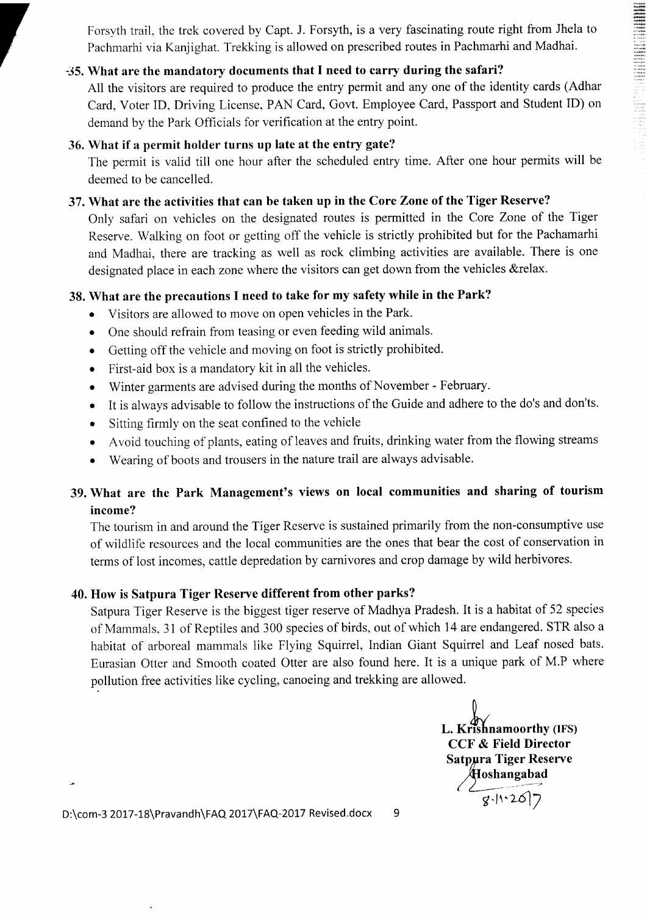$\begin{array}{l} \displaystyle \frac{\partial \phi_{\mathbf{0}}(\mathbf{0},\mathbf{0},\mathbf{0},\mathbf{0},\mathbf{0},\mathbf{0},\mathbf{0},\mathbf{0},\mathbf{0},\mathbf{0},\mathbf{0},\mathbf{0},\mathbf{0},\mathbf{0},\mathbf{0},\mathbf{0},\mathbf{0},\mathbf{0},\mathbf{0},\mathbf{0},\mathbf{0},\mathbf{0},\mathbf{0},\mathbf{0},\mathbf{0},\mathbf{0},\mathbf{0},\mathbf{0},\mathbf{0},\mathbf{0},\mathbf{0},\mathbf{0},\mathbf{0$ 

Forsyth trail. the trek covered by Capt. J. Forsyth, is a very fascinating route right from Jhela to Pachmarhi via Kanjighat. Trekking is allowed on prescribed routes in Pachmarhi and Madhai.

# -35. What are the mandatory documents that I need to carry during the safari?

All the visitors are required to produce the entry permit and any one of the identity cards (Adhar Card, Voter ID, Driving License, PAN Card, Govt. Employee Card, Passport and Student ID) on demand by the Park Officials for verification at the entry point.

### 36. What if a permit holder turns up late at the entry gate?

The permit is valid till one hour after the scheduled entry time. After one hour permits will be deemed to be cancelled.

### 37. What are the activities that can be taken up in the Core Zone of the Tiger Reserve?

Only safari on vehicles on the designated routes is permitted in the Core Zone of the Tiger Reserve. Walking on foot or getting off the vehicle is strictly prohibited but for the Pachamarhi and Madhai, there are tracking as well as rock climbing activities are available. There is one designated place in each zone where the visitors can get down from the vehicles &relax.

### 38. What are the precautions I need to take for my safety while in the Park?

- . Visitors are allowed to move on open vehicles in the Park.
- . One should refrain from teasing or even feeding wild animals.
- o Getting off the vehicle and moving on foot is strictly prohibited.
- o First-aid box is a mandatory kit in all the vehicles.
- o Winter garments are advised during the months of November February.
- o It is always advisable to follow the instructions of the Guide and adhere to the do's and don'ts.
- . Sitting firmly on the seat confined to the vehicle
- . Avoid touching of plants, eating of leaves and fruits, drinking water from the flowing streams
- . Wearing of boots and trousers in the nature trail are always advisable.

# 39. What are the Park Management's views on local communities and sharing of tourism income?

The tourism in and around the Tiger Reserve is sustained primarily from the non-consumptive use of wildlife resources and the local communities are the ones that bear the cost of conservation in terms of lost incomes, cattle depredation by carnivores and crop damage by wild herbivores.

## 40. How is Satpura Tiger Reserve different from other parks?

Satpura Tiger Reserve is the biggest tiger reserve of Madhya Pradesh. It is a habitat of 52 species of Mammals. 3l of Reptiles and 300 species of birds, out of which 14 are endangered. STR also a habitat of arboreal mammals like Flying Squirrel, Indian Giant Squirrel and Leaf nosed bats. Eurasian Otter and Smooth coated Otter are also found here. It is a unique park of M.P where pollution free activities like cycling, canoeing and trekking are allowed.

 $\mathfrak{h}$ y. L. Krishnamoorthy (IFS) CCF & Field Director Satpura Tiger Reserve oshangabad  $\frac{1}{8.11.2017}$ 

D:\com-3 2017-18\Pravandh\FAQ 2017\FAQ-2017 Revised.docx

9